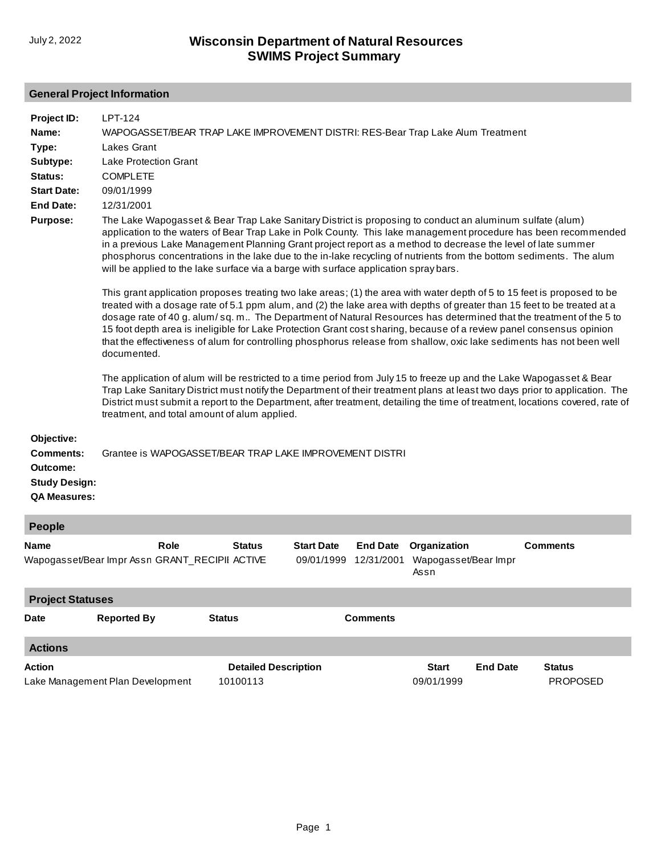## **General Project Information**

| Project ID:                                                                               | <b>LPT-124</b>                                                                                                                                                                                                                                                                                                                                                                                                                                                                                                                                                                                                                            |  |  |  |  |  |  |
|-------------------------------------------------------------------------------------------|-------------------------------------------------------------------------------------------------------------------------------------------------------------------------------------------------------------------------------------------------------------------------------------------------------------------------------------------------------------------------------------------------------------------------------------------------------------------------------------------------------------------------------------------------------------------------------------------------------------------------------------------|--|--|--|--|--|--|
| Name:                                                                                     | WAPOGASSET/BEAR TRAP LAKE IMPROVEMENT DISTRI: RES-Bear Trap Lake Alum Treatment                                                                                                                                                                                                                                                                                                                                                                                                                                                                                                                                                           |  |  |  |  |  |  |
| Type:                                                                                     | Lakes Grant                                                                                                                                                                                                                                                                                                                                                                                                                                                                                                                                                                                                                               |  |  |  |  |  |  |
| Subtype:                                                                                  | <b>Lake Protection Grant</b>                                                                                                                                                                                                                                                                                                                                                                                                                                                                                                                                                                                                              |  |  |  |  |  |  |
| Status:                                                                                   | <b>COMPLETE</b>                                                                                                                                                                                                                                                                                                                                                                                                                                                                                                                                                                                                                           |  |  |  |  |  |  |
| <b>Start Date:</b>                                                                        | 09/01/1999                                                                                                                                                                                                                                                                                                                                                                                                                                                                                                                                                                                                                                |  |  |  |  |  |  |
| <b>End Date:</b>                                                                          | 12/31/2001                                                                                                                                                                                                                                                                                                                                                                                                                                                                                                                                                                                                                                |  |  |  |  |  |  |
| <b>Purpose:</b>                                                                           | The Lake Wapogasset & Bear Trap Lake Sanitary District is proposing to conduct an aluminum sulfate (alum)<br>application to the waters of Bear Trap Lake in Polk County. This lake management procedure has been recommended<br>in a previous Lake Management Planning Grant project report as a method to decrease the level of late summer<br>phosphorus concentrations in the lake due to the in-lake recycling of nutrients from the bottom sediments. The alum<br>will be applied to the lake surface via a barge with surface application spraybars.                                                                                |  |  |  |  |  |  |
|                                                                                           | This grant application proposes treating two lake areas; (1) the area with water depth of 5 to 15 feet is proposed to be<br>treated with a dosage rate of 5.1 ppm alum, and (2) the lake area with depths of greater than 15 feet to be treated at a<br>dosage rate of 40 g. alum/sq. m The Department of Natural Resources has determined that the treatment of the 5 to<br>15 foot depth area is ineligible for Lake Protection Grant cost sharing, because of a review panel consensus opinion<br>that the effectiveness of alum for controlling phosphorus release from shallow, oxic lake sediments has not been well<br>documented. |  |  |  |  |  |  |
|                                                                                           | The application of alum will be restricted to a time period from July 15 to freeze up and the Lake Wapogasset & Bear<br>Trap Lake Sanitary District must notify the Department of their treatment plans at least two days prior to application. The<br>District must submit a report to the Department, after treatment, detailing the time of treatment, locations covered, rate of<br>treatment, and total amount of alum applied.                                                                                                                                                                                                      |  |  |  |  |  |  |
| Objective:<br><b>Comments:</b><br>Outcome:<br><b>Study Design:</b><br><b>QA Measures:</b> | Grantee is WAPOGASSET/BEAR TRAP LAKE IMPROVEMENT DISTRI                                                                                                                                                                                                                                                                                                                                                                                                                                                                                                                                                                                   |  |  |  |  |  |  |
| People                                                                                    |                                                                                                                                                                                                                                                                                                                                                                                                                                                                                                                                                                                                                                           |  |  |  |  |  |  |
| <b>Name</b>                                                                               | <b>Comments</b><br><b>Role</b><br><b>Status</b><br><b>Start Date</b><br>Organization<br><b>End Date</b>                                                                                                                                                                                                                                                                                                                                                                                                                                                                                                                                   |  |  |  |  |  |  |
|                                                                                           | Wapogasset/Bear Impr Assn GRANT_RECIPII ACTIVE<br>12/31/2001 Wapogasset/Bear Impr<br>09/01/1999                                                                                                                                                                                                                                                                                                                                                                                                                                                                                                                                           |  |  |  |  |  |  |

| <b>Project Statuses</b> |                                  |                                         |                 |                            |                 |                                  |  |  |
|-------------------------|----------------------------------|-----------------------------------------|-----------------|----------------------------|-----------------|----------------------------------|--|--|
| <b>Date</b>             | <b>Reported By</b>               | <b>Status</b>                           | <b>Comments</b> |                            |                 |                                  |  |  |
| <b>Actions</b>          |                                  |                                         |                 |                            |                 |                                  |  |  |
| Action                  | Lake Management Plan Development | <b>Detailed Description</b><br>10100113 |                 | <b>Start</b><br>09/01/1999 | <b>End Date</b> | <b>Status</b><br><b>PROPOSED</b> |  |  |

Assn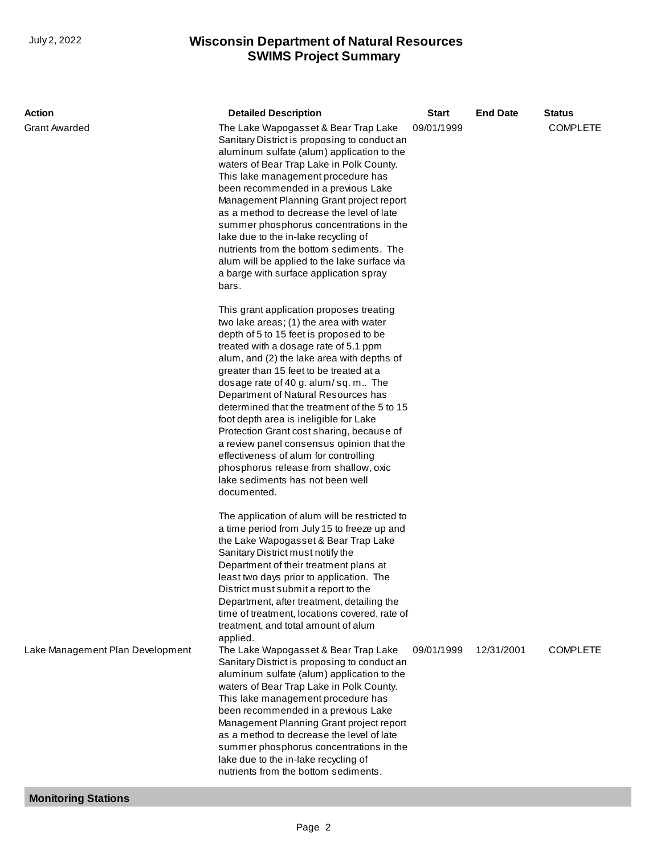## **SWIMS Project Summary** July 2, 2022 **Wisconsin Department of Natural Resources**

| <b>Action</b>                    | <b>Detailed Description</b>                                                                                                                                                                                                                                                                                                                                                                                                                                                                                                                                                                                                                                             | <b>Start</b> | <b>End Date</b> | <b>Status</b>   |
|----------------------------------|-------------------------------------------------------------------------------------------------------------------------------------------------------------------------------------------------------------------------------------------------------------------------------------------------------------------------------------------------------------------------------------------------------------------------------------------------------------------------------------------------------------------------------------------------------------------------------------------------------------------------------------------------------------------------|--------------|-----------------|-----------------|
| <b>Grant Awarded</b>             | The Lake Wapogasset & Bear Trap Lake<br>Sanitary District is proposing to conduct an<br>aluminum sulfate (alum) application to the<br>waters of Bear Trap Lake in Polk County.<br>This lake management procedure has<br>been recommended in a previous Lake<br>Management Planning Grant project report<br>as a method to decrease the level of late<br>summer phosphorus concentrations in the<br>lake due to the in-lake recycling of<br>nutrients from the bottom sediments. The<br>alum will be applied to the lake surface via<br>a barge with surface application spray<br>bars.                                                                                  | 09/01/1999   |                 | <b>COMPLETE</b> |
|                                  | This grant application proposes treating<br>two lake areas; (1) the area with water<br>depth of 5 to 15 feet is proposed to be<br>treated with a dosage rate of 5.1 ppm<br>alum, and (2) the lake area with depths of<br>greater than 15 feet to be treated at a<br>dosage rate of 40 g. alum/sq. m The<br>Department of Natural Resources has<br>determined that the treatment of the 5 to 15<br>foot depth area is ineligible for Lake<br>Protection Grant cost sharing, because of<br>a review panel consensus opinion that the<br>effectiveness of alum for controlling<br>phosphorus release from shallow, oxic<br>lake sediments has not been well<br>documented. |              |                 |                 |
|                                  | The application of alum will be restricted to<br>a time period from July 15 to freeze up and<br>the Lake Wapogasset & Bear Trap Lake<br>Sanitary District must notify the<br>Department of their treatment plans at<br>least two days prior to application. The<br>District must submit a report to the<br>Department, after treatment, detailing the<br>time of treatment, locations covered, rate of<br>treatment, and total amount of alum<br>applied.                                                                                                                                                                                                               |              |                 |                 |
| Lake Management Plan Development | The Lake Wapogasset & Bear Trap Lake<br>Sanitary District is proposing to conduct an<br>aluminum sulfate (alum) application to the<br>waters of Bear Trap Lake in Polk County.<br>This lake management procedure has<br>been recommended in a previous Lake<br>Management Planning Grant project report<br>as a method to decrease the level of late<br>summer phosphorus concentrations in the<br>lake due to the in-lake recycling of<br>nutrients from the bottom sediments.                                                                                                                                                                                         | 09/01/1999   | 12/31/2001      | <b>COMPLETE</b> |